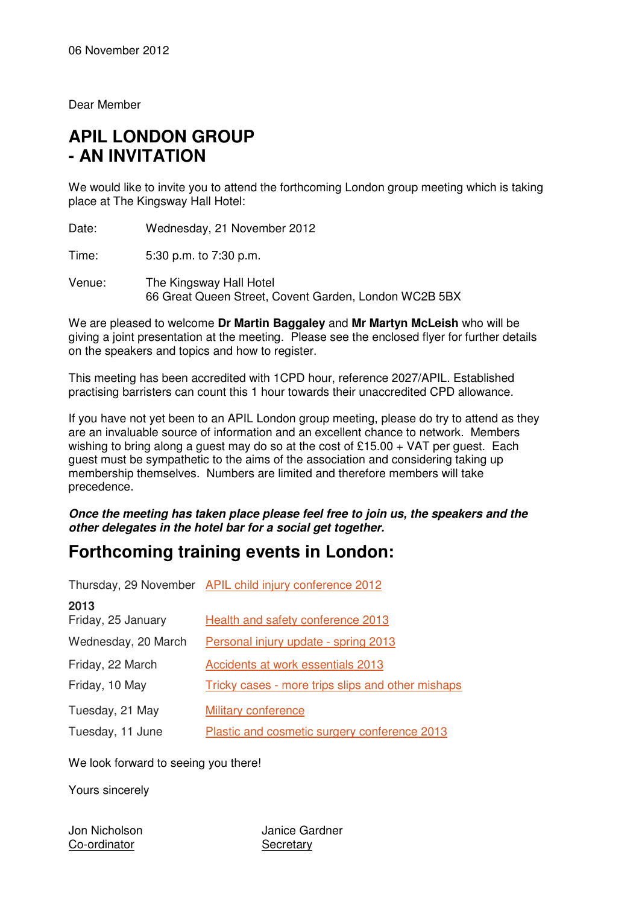Dear Member

# **APIL LONDON GROUP - AN INVITATION**

We would like to invite you to attend the forthcoming London group meeting which is taking place at The Kingsway Hall Hotel:

Date: Wednesday, 21 November 2012

Time: 5:30 p.m. to 7:30 p.m.

Venue: The Kingsway Hall Hotel 66 Great Queen Street, Covent Garden, London WC2B 5BX

We are pleased to welcome **Dr Martin Baggaley** and **Mr Martyn McLeish** who will be giving a joint presentation at the meeting. Please see the enclosed flyer for further details on the speakers and topics and how to register.

This meeting has been accredited with 1CPD hour, reference 2027/APIL. Established practising barristers can count this 1 hour towards their unaccredited CPD allowance.

If you have not yet been to an APIL London group meeting, please do try to attend as they are an invaluable source of information and an excellent chance to network. Members wishing to bring along a guest may do so at the cost of £15.00  $+$  VAT per guest. Each guest must be sympathetic to the aims of the association and considering taking up membership themselves. Numbers are limited and therefore members will take precedence.

**Once the meeting has taken place please feel free to join us, the speakers and the other delegates in the hotel bar for a social get together.** 

# **Forthcoming training events in London:**

|                            | Thursday, 29 November APIL child injury conference 2012 |
|----------------------------|---------------------------------------------------------|
| 2013<br>Friday, 25 January | Health and safety conference 2013                       |
| Wednesday, 20 March        | Personal injury update - spring 2013                    |
| Friday, 22 March           | Accidents at work essentials 2013                       |
| Friday, 10 May             | Tricky cases - more trips slips and other mishaps       |
| Tuesday, 21 May            | <b>Military conference</b>                              |
| Tuesday, 11 June           | Plastic and cosmetic surgery conference 2013            |

We look forward to seeing you there!

Yours sincerely

Co-ordinator Secretary

Jon Nicholson Janice Gardner